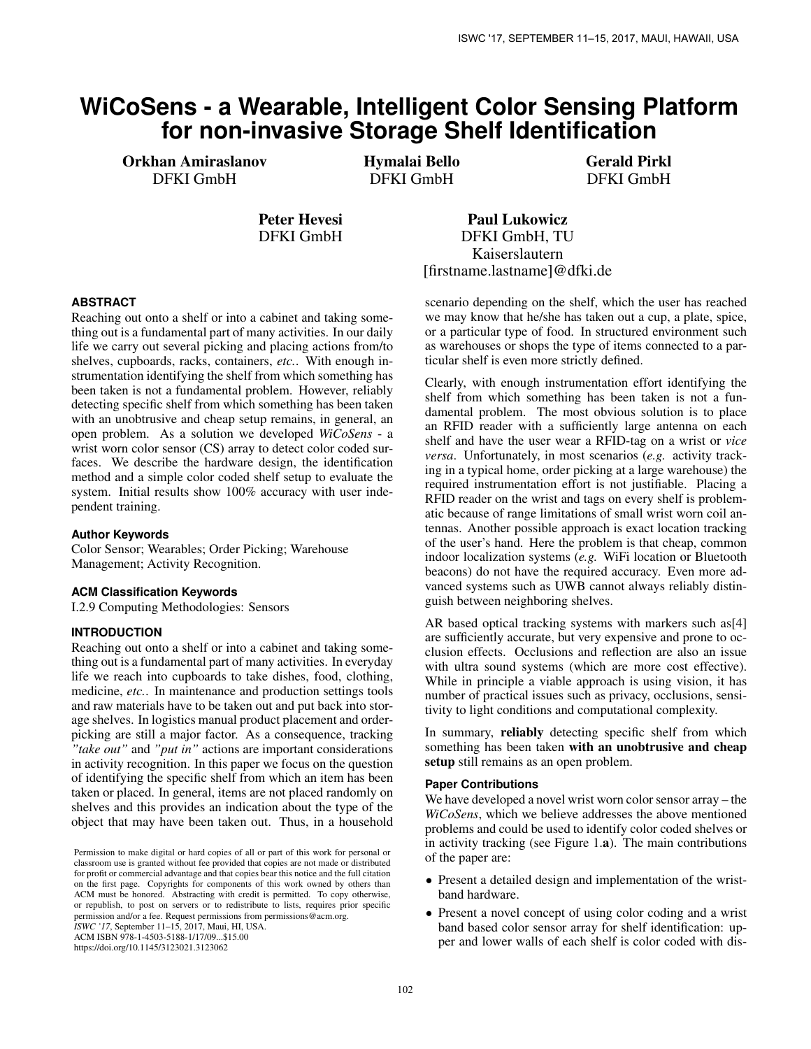# **WiCoSens - a Wearable, Intelligent Color Sensing Platform for non-invasive Storage Shelf Identification**

Orkhan Amiraslanov DFKI GmbH

Hymalai Bello DFKI GmbH

Gerald Pirkl DFKI GmbH

Peter Hevesi DFKI GmbH

Paul Lukowicz DFKI GmbH, TU Kaiserslautern [firstname.lastname]@dfki.de

#### **ABSTRACT**

Reaching out onto a shelf or into a cabinet and taking something out is a fundamental part of many activities. In our daily life we carry out several picking and placing actions from/to shelves, cupboards, racks, containers, *etc.*. With enough instrumentation identifying the shelf from which something has been taken is not a fundamental problem. However, reliably detecting specific shelf from which something has been taken with an unobtrusive and cheap setup remains, in general, an open problem. As a solution we developed *WiCoSens* - a wrist worn color sensor (CS) array to detect color coded surfaces. We describe the hardware design, the identification method and a simple color coded shelf setup to evaluate the system. Initial results show 100% accuracy with user independent training.

### **Author Keywords**

Color Sensor; Wearables; Order Picking; Warehouse Management; Activity Recognition.

#### **ACM Classification Keywords**

I.2.9 Computing Methodologies: Sensors

### **INTRODUCTION**

Reaching out onto a shelf or into a cabinet and taking something out is a fundamental part of many activities. In everyday life we reach into cupboards to take dishes, food, clothing, medicine, *etc.*. In maintenance and production settings tools and raw materials have to be taken out and put back into storage shelves. In logistics manual product placement and orderpicking are still a major factor. As a consequence, tracking *"take out"* and *"put in"* actions are important considerations in activity recognition. In this paper we focus on the question of identifying the specific shelf from which an item has been taken or placed. In general, items are not placed randomly on shelves and this provides an indication about the type of the object that may have been taken out. Thus, in a household

ACM ISBN 978-1-4503-5188-1/17/09...\$15.00

https://doi.org/10.1145/3123021.3123062

scenario depending on the shelf, which the user has reached we may know that he/she has taken out a cup, a plate, spice, or a particular type of food. In structured environment such as warehouses or shops the type of items connected to a particular shelf is even more strictly defined.

Clearly, with enough instrumentation effort identifying the shelf from which something has been taken is not a fundamental problem. The most obvious solution is to place an RFID reader with a sufficiently large antenna on each shelf and have the user wear a RFID-tag on a wrist or *vice versa*. Unfortunately, in most scenarios (*e.g.* activity tracking in a typical home, order picking at a large warehouse) the required instrumentation effort is not justifiable. Placing a RFID reader on the wrist and tags on every shelf is problematic because of range limitations of small wrist worn coil antennas. Another possible approach is exact location tracking of the user's hand. Here the problem is that cheap, common indoor localization systems (*e.g.* WiFi location or Bluetooth beacons) do not have the required accuracy. Even more advanced systems such as UWB cannot always reliably distinguish between neighboring shelves.

AR based optical tracking systems with markers such as[\[4\]](#page-3-0) are sufficiently accurate, but very expensive and prone to occlusion effects. Occlusions and reflection are also an issue with ultra sound systems (which are more cost effective). While in principle a viable approach is using vision, it has number of practical issues such as privacy, occlusions, sensitivity to light conditions and computational complexity.

In summary, reliably detecting specific shelf from which something has been taken with an unobtrusive and cheap setup still remains as an open problem.

### **Paper Contributions**

We have developed a novel wrist worn color sensor array – the *WiCoSens*, which we believe addresses the above mentioned problems and could be used to identify color coded shelves or in activity tracking (see Figure [1.](#page-2-0)a). The main contributions of the paper are:

- Present a detailed design and implementation of the wristband hardware.
- Present a novel concept of using color coding and a wrist band based color sensor array for shelf identification: upper and lower walls of each shelf is color coded with dis-

Permission to make digital or hard copies of all or part of this work for personal or classroom use is granted without fee provided that copies are not made or distributed for profit or commercial advantage and that copies bear this notice and the full citation on the first page. Copyrights for components of this work owned by others than ACM must be honored. Abstracting with credit is permitted. To copy otherwise, or republish, to post on servers or to redistribute to lists, requires prior specific permission and/or a fee. Request permissions from permissions@acm.org. *ISWC '17*, September 11–15, 2017, Maui, HI, USA.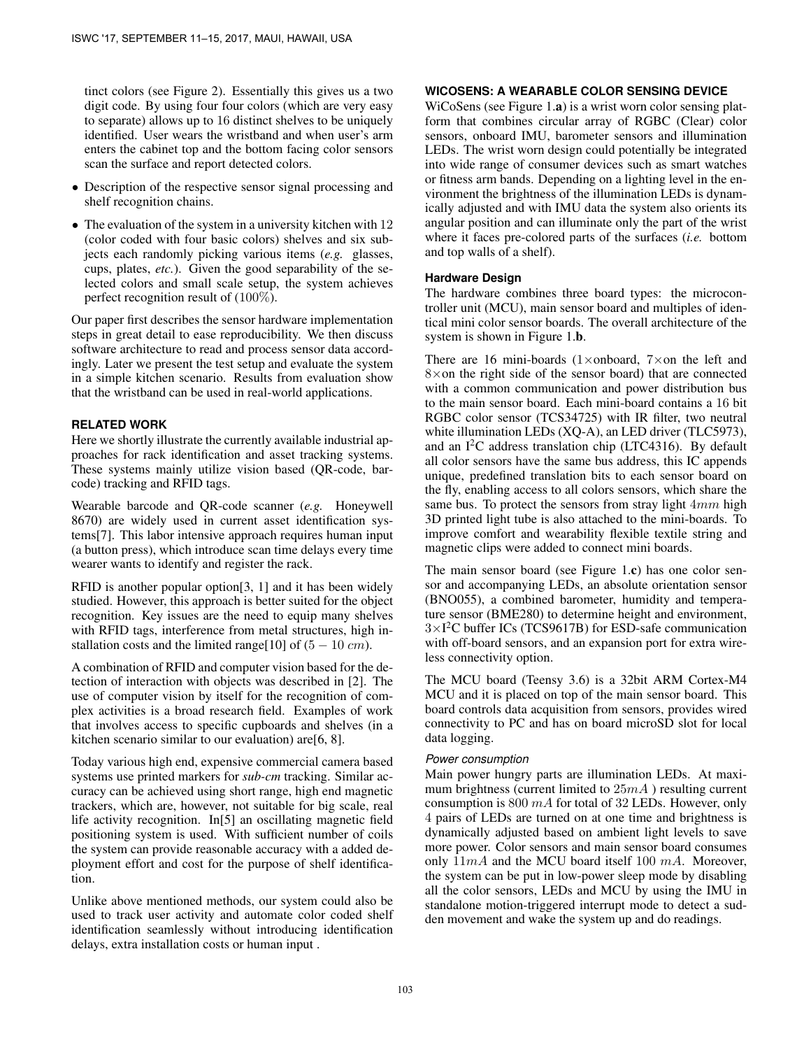tinct colors (see Figure [2\)](#page-2-1). Essentially this gives us a two digit code. By using four four colors (which are very easy to separate) allows up to 16 distinct shelves to be uniquely identified. User wears the wristband and when user's arm enters the cabinet top and the bottom facing color sensors scan the surface and report detected colors.

- Description of the respective sensor signal processing and shelf recognition chains.
- The evaluation of the system in a university kitchen with 12 (color coded with four basic colors) shelves and six subjects each randomly picking various items (*e.g.* glasses, cups, plates, *etc.*). Given the good separability of the selected colors and small scale setup, the system achieves perfect recognition result of (100%).

Our paper first describes the sensor hardware implementation steps in great detail to ease reproducibility. We then discuss software architecture to read and process sensor data accordingly. Later we present the test setup and evaluate the system in a simple kitchen scenario. Results from evaluation show that the wristband can be used in real-world applications.

# **RELATED WORK**

Here we shortly illustrate the currently available industrial approaches for rack identification and asset tracking systems. These systems mainly utilize vision based (QR-code, barcode) tracking and RFID tags.

Wearable barcode and QR-code scanner (*e.g.* Honeywell 8670) are widely used in current asset identification systems[\[7\]](#page-3-1). This labor intensive approach requires human input (a button press), which introduce scan time delays every time wearer wants to identify and register the rack.

RFID is another popular option[\[3,](#page-3-2) [1\]](#page-3-3) and it has been widely studied. However, this approach is better suited for the object recognition. Key issues are the need to equip many shelves with RFID tags, interference from metal structures, high in-stallation costs and the limited range[\[10\]](#page-3-4) of  $(5 - 10 \text{ cm})$ .

A combination of RFID and computer vision based for the detection of interaction with objects was described in [\[2\]](#page-3-5). The use of computer vision by itself for the recognition of complex activities is a broad research field. Examples of work that involves access to specific cupboards and shelves (in a kitchen scenario similar to our evaluation) are[\[6,](#page-3-6) [8\]](#page-3-7).

Today various high end, expensive commercial camera based systems use printed markers for *sub-cm* tracking. Similar accuracy can be achieved using short range, high end magnetic trackers, which are, however, not suitable for big scale, real life activity recognition. In[\[5\]](#page-3-8) an oscillating magnetic field positioning system is used. With sufficient number of coils the system can provide reasonable accuracy with a added deployment effort and cost for the purpose of shelf identification.

Unlike above mentioned methods, our system could also be used to track user activity and automate color coded shelf identification seamlessly without introducing identification delays, extra installation costs or human input .

# **WICOSENS: A WEARABLE COLOR SENSING DEVICE**

WiCoSens (see Figure [1.](#page-2-0)a) is a wrist worn color sensing platform that combines circular array of RGBC (Clear) color sensors, onboard IMU, barometer sensors and illumination LEDs. The wrist worn design could potentially be integrated into wide range of consumer devices such as smart watches or fitness arm bands. Depending on a lighting level in the environment the brightness of the illumination LEDs is dynamically adjusted and with IMU data the system also orients its angular position and can illuminate only the part of the wrist where it faces pre-colored parts of the surfaces (*i.e.* bottom and top walls of a shelf).

# **Hardware Design**

The hardware combines three board types: the microcontroller unit (MCU), main sensor board and multiples of identical mini color sensor boards. The overall architecture of the system is shown in Figure [1.](#page-2-0)b.

There are 16 mini-boards (1×onboard, 7×on the left and  $8 \times$ on the right side of the sensor board) that are connected with a common communication and power distribution bus to the main sensor board. Each mini-board contains a 16 bit RGBC color sensor (TCS34725) with IR filter, two neutral white illumination LEDs (XQ-A), an LED driver (TLC5973), and an  $I^2C$  address translation chip (LTC4316). By default all color sensors have the same bus address, this IC appends unique, predefined translation bits to each sensor board on the fly, enabling access to all colors sensors, which share the same bus. To protect the sensors from stray light  $4mm$  high 3D printed light tube is also attached to the mini-boards. To improve comfort and wearability flexible textile string and magnetic clips were added to connect mini boards.

The main sensor board (see Figure [1.](#page-2-0)c) has one color sensor and accompanying LEDs, an absolute orientation sensor (BNO055), a combined barometer, humidity and temperature sensor (BME280) to determine height and environment, 3×I <sup>2</sup>C buffer ICs (TCS9617B) for ESD-safe communication with off-board sensors, and an expansion port for extra wireless connectivity option.

The MCU board (Teensy 3.6) is a 32bit ARM Cortex-M4 MCU and it is placed on top of the main sensor board. This board controls data acquisition from sensors, provides wired connectivity to PC and has on board microSD slot for local data logging.

## *Power consumption*

Main power hungry parts are illumination LEDs. At maximum brightness (current limited to  $25mA$ ) resulting current consumption is 800  $mA$  for total of 32 LEDs. However, only 4 pairs of LEDs are turned on at one time and brightness is dynamically adjusted based on ambient light levels to save more power. Color sensors and main sensor board consumes only  $11mA$  and the MCU board itself 100 mA. Moreover, the system can be put in low-power sleep mode by disabling all the color sensors, LEDs and MCU by using the IMU in standalone motion-triggered interrupt mode to detect a sudden movement and wake the system up and do readings.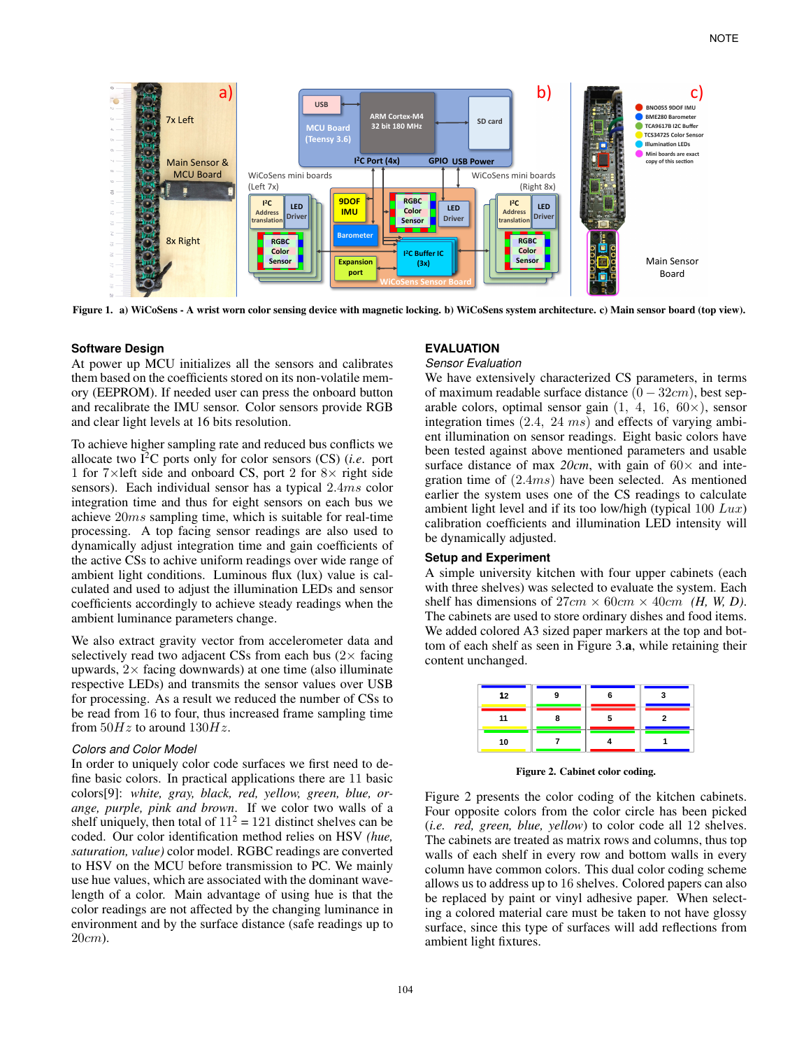

<span id="page-2-0"></span>Figure 1. a) WiCoSens - A wrist worn color sensing device with magnetic locking. b) WiCoSens system architecture. c) Main sensor board (top view).

#### **Software Design**

At power up MCU initializes all the sensors and calibrates them based on the coefficients stored on its non-volatile memory (EEPROM). If needed user can press the onboard button and recalibrate the IMU sensor. Color sensors provide RGB and clear light levels at 16 bits resolution.

To achieve higher sampling rate and reduced bus conflicts we allocate two  $I^2C$  ports only for color sensors  $(CS)$  (*i.e.* port 1 for  $7 \times$  left side and onboard CS, port 2 for  $8 \times$  right side sensors). Each individual sensor has a typical 2.4ms color integration time and thus for eight sensors on each bus we achieve 20ms sampling time, which is suitable for real-time processing. A top facing sensor readings are also used to dynamically adjust integration time and gain coefficients of the active CSs to achive uniform readings over wide range of ambient light conditions. Luminous flux (lux) value is calculated and used to adjust the illumination LEDs and sensor coefficients accordingly to achieve steady readings when the ambient luminance parameters change.

We also extract gravity vector from accelerometer data and selectively read two adjacent CSs from each bus  $(2 \times$  facing upwards,  $2 \times$  facing downwards) at one time (also illuminate respective LEDs) and transmits the sensor values over USB for processing. As a result we reduced the number of CSs to be read from 16 to four, thus increased frame sampling time from  $50Hz$  to around  $130Hz$ .

#### *Colors and Color Model*

In order to uniquely color code surfaces we first need to define basic colors. In practical applications there are 11 basic colors[\[9\]](#page-3-9): *white, gray, black, red, yellow, green, blue, orange, purple, pink and brown*. If we color two walls of a shelf uniquely, then total of  $11^2 = 121$  distinct shelves can be coded. Our color identification method relies on HSV *(hue, saturation, value)* color model. RGBC readings are converted to HSV on the MCU before transmission to PC. We mainly use hue values, which are associated with the dominant wavelength of a color. Main advantage of using hue is that the color readings are not affected by the changing luminance in environment and by the surface distance (safe readings up to 20cm).

# **EVALUATION**

# *Sensor Evaluation*

We have extensively characterized CS parameters, in terms of maximum readable surface distance  $(0 - 32cm)$ , best separable colors, optimal sensor gain  $(1, 4, 16, 60\times)$ , sensor integration times (2.4, 24 ms) and effects of varying ambient illumination on sensor readings. Eight basic colors have been tested against above mentioned parameters and usable surface distance of max  $20cm$ , with gain of  $60\times$  and integration time of (2.4ms) have been selected. As mentioned earlier the system uses one of the CS readings to calculate ambient light level and if its too low/high (typical  $100 \; Lux$ ) calibration coefficients and illumination LED intensity will be dynamically adjusted.

#### **Setup and Experiment**

A simple university kitchen with four upper cabinets (each with three shelves) was selected to evaluate the system. Each shelf has dimensions of  $27cm \times 60cm \times 40cm$  *(H, W, D)*. The cabinets are used to store ordinary dishes and food items. We added colored A3 sized paper markers at the top and bottom of each shelf as seen in Figure [3.](#page-3-10)a, while retaining their content unchanged.

| 12 |  |  |
|----|--|--|
| 11 |  |  |
| 10 |  |  |

<span id="page-2-1"></span>Figure 2. Cabinet color coding.

Figure [2](#page-2-1) presents the color coding of the kitchen cabinets. Four opposite colors from the color circle has been picked (*i.e. red, green, blue, yellow*) to color code all 12 shelves. The cabinets are treated as matrix rows and columns, thus top walls of each shelf in every row and bottom walls in every column have common colors. This dual color coding scheme allows us to address up to 16 shelves. Colored papers can also be replaced by paint or vinyl adhesive paper. When selecting a colored material care must be taken to not have glossy surface, since this type of surfaces will add reflections from ambient light fixtures.